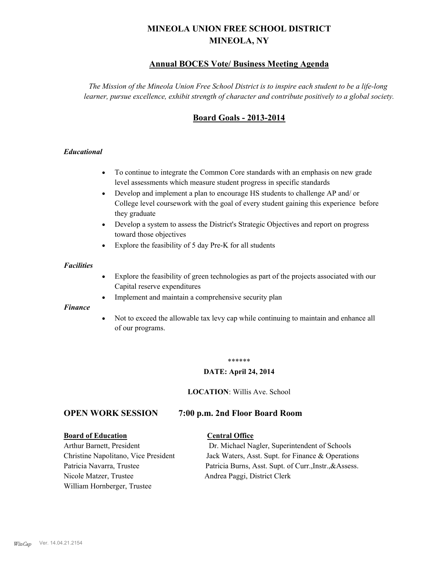# **MINEOLA UNION FREE SCHOOL DISTRICT MINEOLA, NY**

## **Annual BOCES Vote/ Business Meeting Agenda**

*The Mission of the Mineola Union Free School District is to inspire each student to be a life-long learner, pursue excellence, exhibit strength of character and contribute positively to a global society.*

# **Board Goals - 2013-2014**

#### *Educational*

- · To continue to integrate the Common Core standards with an emphasis on new grade level assessments which measure student progress in specific standards
- · Develop and implement a plan to encourage HS students to challenge AP and/ or College level coursework with the goal of every student gaining this experience before they graduate
- Develop a system to assess the District's Strategic Objectives and report on progress toward those objectives
- · Explore the feasibility of 5 day Pre-K for all students

#### *Facilities*

- · Explore the feasibility of green technologies as part of the projects associated with our Capital reserve expenditures
- Implement and maintain a comprehensive security plan

#### *Finance*

• Not to exceed the allowable tax levy cap while continuing to maintain and enhance all of our programs.

#### \*\*\*\*\*\*

#### **DATE: April 24, 2014**

**LOCATION**: Willis Ave. School

### **OPEN WORK SESSION 7:00 p.m. 2nd Floor Board Room**

#### **Board of Education Central Office**

Nicole Matzer, Trustee Andrea Paggi, District Clerk William Hornberger, Trustee

Arthur Barnett, President Dr. Michael Nagler, Superintendent of Schools Christine Napolitano, Vice President Jack Waters, Asst. Supt. for Finance & Operations Patricia Navarra, Trustee Patricia Burns, Asst. Supt. of Curr., Instr., &Assess.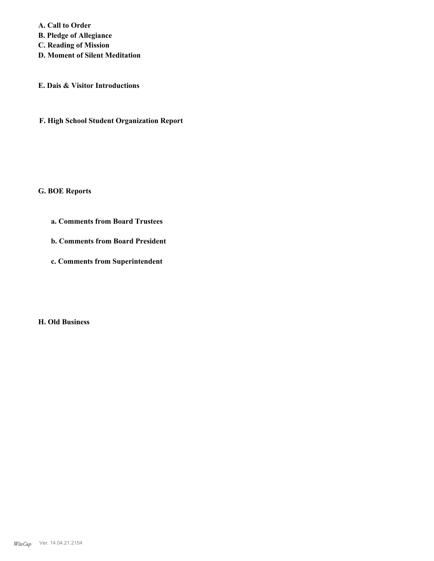**A. Call to Order B. Pledge of Allegiance C. Reading of Mission D. Moment of Silent Meditation**

**E. Dais & Visitor Introductions**

**F. High School Student Organization Report**

**G. BOE Reports**

**a. Comments from Board Trustees**

**b. Comments from Board President**

**c. Comments from Superintendent**

**H. Old Business**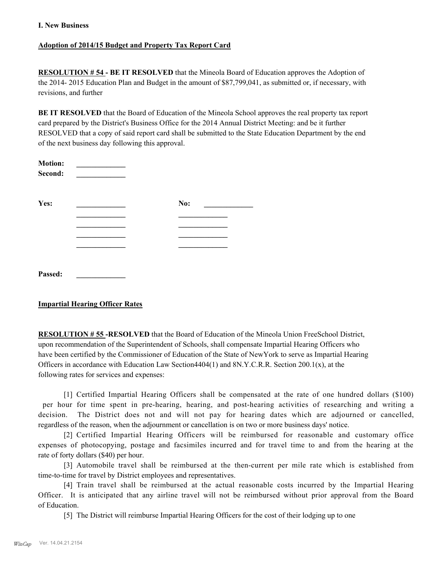#### **Adoption of 2014/15 Budget and Property Tax Report Card**

**RESOLUTION # 54 - BE IT RESOLVED** that the Mineola Board of Education approves the Adoption of the 2014- 2015 Education Plan and Budget in the amount of \$87,799,041, as submitted or, if necessary, with revisions, and further

**BE IT RESOLVED** that the Board of Education of the Mineola School approves the real property tax report card prepared by the District's Business Office for the 2014 Annual District Meeting: and be it further RESOLVED that a copy of said report card shall be submitted to the State Education Department by the end of the next business day following this approval.

| <b>Motion:</b><br>Second: |     |  |
|---------------------------|-----|--|
| Yes:                      | No: |  |
|                           |     |  |
|                           |     |  |
|                           |     |  |
|                           |     |  |
| Passed:                   |     |  |

### **Impartial Hearing Officer Rates**

**RESOLUTION # 55 -RESOLVED** that the Board of Education of the Mineola Union FreeSchool District, upon recommendation of the Superintendent of Schools, shall compensate Impartial Hearing Officers who have been certified by the Commissioner of Education of the State of NewYork to serve as Impartial Hearing Officers in accordance with Education Law Section4404(1) and 8N.Y.C.R.R. Section 200.1(x), at the following rates for services and expenses:

[1] Certified Impartial Hearing Officers shall be compensated at the rate of one hundred dollars (\$100) per hour for time spent in pre-hearing, hearing, and post-hearing activities of researching and writing a decision. The District does not and will not pay for hearing dates which are adjourned or cancelled, regardless of the reason, when the adjournment or cancellation is on two or more business days' notice.

[2] Certified Impartial Hearing Officers will be reimbursed for reasonable and customary office expenses of photocopying, postage and facsimiles incurred and for travel time to and from the hearing at the rate of forty dollars (\$40) per hour.

[3] Automobile travel shall be reimbursed at the then-current per mile rate which is established from time-to-time for travel by District employees and representatives.

[4] Train travel shall be reimbursed at the actual reasonable costs incurred by the Impartial Hearing Officer. It is anticipated that any airline travel will not be reimbursed without prior approval from the Board of Education.

[5] The District will reimburse Impartial Hearing Officers for the cost of their lodging up to one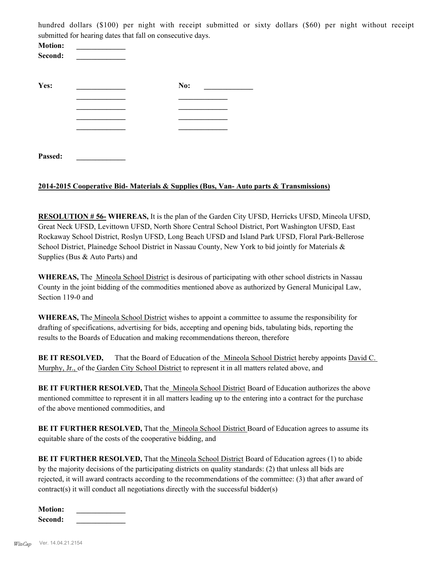hundred dollars (\$100) per night with receipt submitted or sixty dollars (\$60) per night without receipt submitted for hearing dates that fall on consecutive days.

| <b>Motion:</b><br>Second: |     |
|---------------------------|-----|
| Yes:                      | No: |
|                           |     |
|                           |     |
|                           |     |
|                           |     |
| Passed:                   |     |

#### **2014-2015 Cooperative Bid- Materials & Supplies (Bus, Van- Auto parts & Transmissions)**

**RESOLUTION # 56- WHEREAS,** It is the plan of the Garden City UFSD, Herricks UFSD, Mineola UFSD, Great Neck UFSD, Levittown UFSD, North Shore Central School District, Port Washington UFSD, East Rockaway School District, Roslyn UFSD, Long Beach UFSD and Island Park UFSD, Floral Park-Bellerose School District, Plainedge School District in Nassau County, New York to bid jointly for Materials & Supplies (Bus & Auto Parts) and

**WHEREAS,** The Mineola School District is desirous of participating with other school districts in Nassau County in the joint bidding of the commodities mentioned above as authorized by General Municipal Law, Section 119-0 and

**WHEREAS,** The Mineola School District wishes to appoint a committee to assume the responsibility for drafting of specifications, advertising for bids, accepting and opening bids, tabulating bids, reporting the results to the Boards of Education and making recommendations thereon, therefore

**BE IT RESOLVED,** That the Board of Education of the Mineola School District hereby appoints David C. Murphy, Jr., of the Garden City School District to represent it in all matters related above, and

**BE IT FURTHER RESOLVED,** That the Mineola School District Board of Education authorizes the above mentioned committee to represent it in all matters leading up to the entering into a contract for the purchase of the above mentioned commodities, and

BE IT FURTHER RESOLVED, That the Mineola School District Board of Education agrees to assume its equitable share of the costs of the cooperative bidding, and

**BE IT FURTHER RESOLVED,** That the <u>Mineola School District</u> Board of Education agrees (1) to abide by the majority decisions of the participating districts on quality standards: (2) that unless all bids are rejected, it will award contracts according to the recommendations of the committee: (3) that after award of contract(s) it will conduct all negotiations directly with the successful bidder(s)

| <b>Motion:</b> |  |
|----------------|--|
| Second:        |  |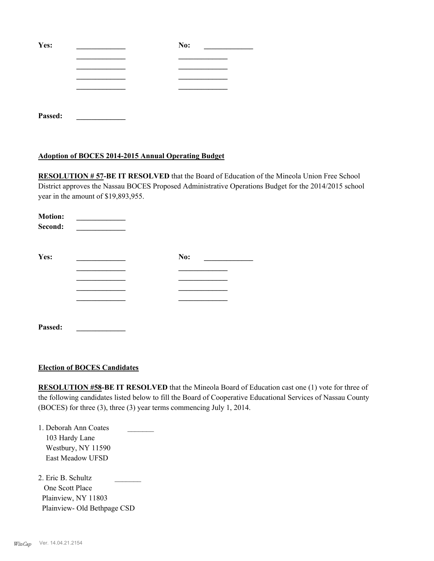| Yes:    | No: |
|---------|-----|
|         |     |
|         |     |
|         |     |
|         |     |
| Passed: |     |

#### **Adoption of BOCES 2014-2015 Annual Operating Budget**

**RESOLUTION # 57-BE IT RESOLVED** that the Board of Education of the Mineola Union Free School District approves the Nassau BOCES Proposed Administrative Operations Budget for the 2014/2015 school year in the amount of \$19,893,955.

| <b>Motion:</b><br>Second: |     |  |
|---------------------------|-----|--|
| Yes:                      | No: |  |
|                           |     |  |
|                           |     |  |
|                           |     |  |
|                           |     |  |
|                           |     |  |
| Passed:                   |     |  |

#### **Election of BOCES Candidates**

**RESOLUTION #58-BE IT RESOLVED** that the Mineola Board of Education cast one (1) vote for three of the following candidates listed below to fill the Board of Cooperative Educational Services of Nassau County (BOCES) for three (3), three (3) year terms commencing July 1, 2014.

1. Deborah Ann Coates \_\_\_\_\_\_\_ 103 Hardy Lane Westbury, NY 11590 East Meadow UFSD

2. Eric B. Schultz One Scott Place Plainview, NY 11803 Plainview- Old Bethpage CSD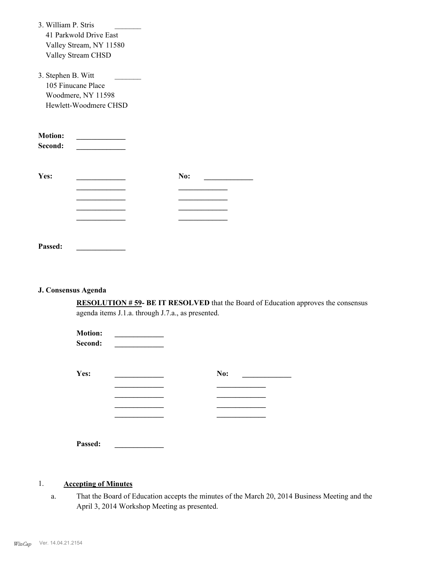| 3. William P. Stris       |                         |     |  |
|---------------------------|-------------------------|-----|--|
|                           | 41 Parkwold Drive East  |     |  |
|                           | Valley Stream, NY 11580 |     |  |
|                           | Valley Stream CHSD      |     |  |
| 3. Stephen B. Witt        |                         |     |  |
|                           | 105 Finucane Place      |     |  |
|                           | Woodmere, NY 11598      |     |  |
|                           | Hewlett-Woodmere CHSD   |     |  |
| <b>Motion:</b><br>Second: |                         |     |  |
| Yes:                      |                         | No: |  |
|                           |                         |     |  |
|                           |                         |     |  |
|                           |                         |     |  |
|                           |                         |     |  |
|                           |                         |     |  |
| Passed:                   |                         |     |  |

#### **J. Consensus Agenda**

**RESOLUTION # 59- BE IT RESOLVED** that the Board of Education approves the consensus agenda items J.1.a. through J.7.a., as presented.

| <b>Motion:</b><br>Second: |     |
|---------------------------|-----|
| Yes:                      | No: |
|                           |     |
|                           |     |
|                           |     |
|                           |     |
| Passed:                   |     |

#### 1. **Accepting of Minutes**

That the Board of Education accepts the minutes of the March 20, 2014 Business Meeting and the April 3, 2014 Workshop Meeting as presented. a.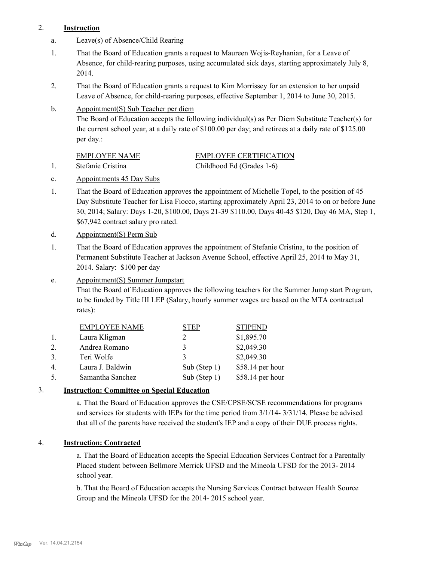#### 2. **Instruction**

- a. Leave(s) of Absence/Child Rearing
- That the Board of Education grants a request to Maureen Wojis-Reyhanian, for a Leave of Absence, for child-rearing purposes, using accumulated sick days, starting approximately July 8, 2014. 1.
- That the Board of Education grants a request to Kim Morrissey for an extension to her unpaid Leave of Absence, for child-rearing purposes, effective September 1, 2014 to June 30, 2015. 2.
- Appointment(S) Sub Teacher per diem b.

The Board of Education accepts the following individual(s) as Per Diem Substitute Teacher(s) for the current school year, at a daily rate of \$100.00 per day; and retirees at a daily rate of \$125.00 per day.:

# EMPLOYEE NAME EMPLOYEE CERTIFICATION

1. Stefanie Cristina Childhood Ed (Grades 1-6) c. Appointments 45 Day Subs

- That the Board of Education approves the appointment of Michelle Topel, to the position of 45 Day Substitute Teacher for Lisa Fiocco, starting approximately April 23, 2014 to on or before June 30, 2014; Salary: Days 1-20, \$100.00, Days 21-39 \$110.00, Days 40-45 \$120, Day 46 MA, Step 1, \$67,942 contract salary pro rated. 1.
- d. Appointment(S) Perm Sub
- That the Board of Education approves the appointment of Stefanie Cristina, to the position of Permanent Substitute Teacher at Jackson Avenue School, effective April 25, 2014 to May 31, 2014. Salary: \$100 per day 1.
- Appointment(S) Summer Jumpstart e.

That the Board of Education approves the following teachers for the Summer Jump start Program, to be funded by Title III LEP (Salary, hourly summer wages are based on the MTA contractual rates):

|                  | <b>EMPLOYEE NAME</b> | STEP            | <b>STIPEND</b>   |
|------------------|----------------------|-----------------|------------------|
|                  | Laura Kligman        |                 | \$1,895.70       |
| $\mathfrak{2}$ . | Andrea Romano        | 3               | \$2,049.30       |
| 3.               | Teri Wolfe           | $\mathcal{L}$   | \$2,049.30       |
| 4.               | Laura J. Baldwin     | Sub (Step $1$ ) | \$58.14 per hour |
| 5.               | Samantha Sanchez     | Sub (Step 1)    | \$58.14 per hour |

### 3. **Instruction: Committee on Special Education**

a. That the Board of Education approves the CSE/CPSE/SCSE recommendations for programs and services for students with IEPs for the time period from 3/1/14- 3/31/14. Please be advised that all of the parents have received the student's IEP and a copy of their DUE process rights.

### 4. **Instruction: Contracted**

a. That the Board of Education accepts the Special Education Services Contract for a Parentally Placed student between Bellmore Merrick UFSD and the Mineola UFSD for the 2013- 2014 school year.

b. That the Board of Education accepts the Nursing Services Contract between Health Source Group and the Mineola UFSD for the 2014- 2015 school year.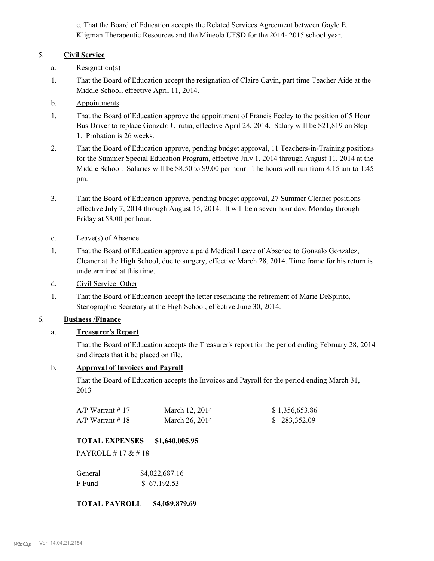c. That the Board of Education accepts the Related Services Agreement between Gayle E. Kligman Therapeutic Resources and the Mineola UFSD for the 2014- 2015 school year.

### 5. **Civil Service**

- a. Resignation(s)
- That the Board of Education accept the resignation of Claire Gavin, part time Teacher Aide at the Middle School, effective April 11, 2014. 1.
- b. Appointments
- That the Board of Education approve the appointment of Francis Feeley to the position of 5 Hour Bus Driver to replace Gonzalo Urrutia, effective April 28, 2014. Salary will be \$21,819 on Step 1. Probation is 26 weeks. 1.
- That the Board of Education approve, pending budget approval, 11 Teachers-in-Training positions for the Summer Special Education Program, effective July 1, 2014 through August 11, 2014 at the Middle School. Salaries will be \$8.50 to \$9.00 per hour. The hours will run from 8:15 am to 1:45 pm. 2.
- That the Board of Education approve, pending budget approval, 27 Summer Cleaner positions effective July 7, 2014 through August 15, 2014. It will be a seven hour day, Monday through Friday at \$8.00 per hour. 3.
- c. Leave(s) of Absence
- That the Board of Education approve a paid Medical Leave of Absence to Gonzalo Gonzalez, Cleaner at the High School, due to surgery, effective March 28, 2014. Time frame for his return is undetermined at this time. 1.
- d. Civil Service: Other
- That the Board of Education accept the letter rescinding the retirement of Marie DeSpirito, Stenographic Secretary at the High School, effective June 30, 2014. 1.

# 6. **Business /Finance**

### a. **Treasurer's Report**

That the Board of Education accepts the Treasurer's report for the period ending February 28, 2014 and directs that it be placed on file.

#### b. **Approval of Invoices and Payroll**

That the Board of Education accepts the Invoices and Payroll for the period ending March 31, 2013

| $A/P$ Warrant #17  | March 12, 2014 | \$1,356,653.86 |
|--------------------|----------------|----------------|
| $A/P$ Warrant # 18 | March 26, 2014 | \$283,352.09   |

### **TOTAL EXPENSES \$1,640,005.95**

PAYROLL # 17 & # 18

| General | \$4,022,687.16 |
|---------|----------------|
| F Fund  | \$67,192.53    |

**TOTAL PAYROLL \$4,089,879.69**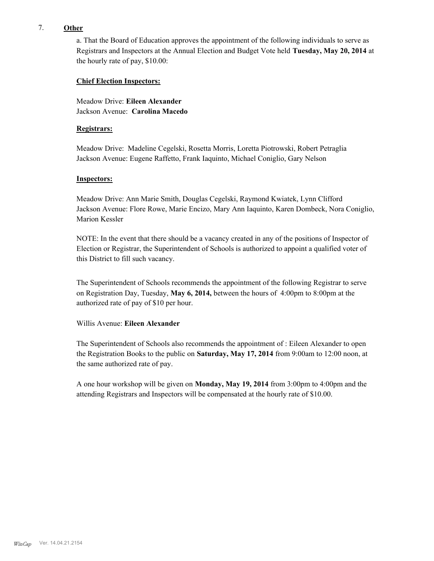#### 7. **Other**

a. That the Board of Education approves the appointment of the following individuals to serve as Registrars and Inspectors at the Annual Election and Budget Vote held **Tuesday, May 20, 2014** at the hourly rate of pay, \$10.00:

#### **Chief Election Inspectors:**

Meadow Drive: **Eileen Alexander**  Jackson Avenue: **Carolina Macedo**

#### **Registrars:**

Meadow Drive: Madeline Cegelski, Rosetta Morris, Loretta Piotrowski, Robert Petraglia Jackson Avenue: Eugene Raffetto, Frank Iaquinto, Michael Coniglio, Gary Nelson

#### **Inspectors:**

Meadow Drive: Ann Marie Smith, Douglas Cegelski, Raymond Kwiatek, Lynn Clifford Jackson Avenue: Flore Rowe, Marie Encizo, Mary Ann Iaquinto, Karen Dombeck, Nora Coniglio, Marion Kessler

NOTE: In the event that there should be a vacancy created in any of the positions of Inspector of Election or Registrar, the Superintendent of Schools is authorized to appoint a qualified voter of this District to fill such vacancy.

The Superintendent of Schools recommends the appointment of the following Registrar to serve on Registration Day, Tuesday, **May 6, 2014,** between the hours of 4:00pm to 8:00pm at the authorized rate of pay of \$10 per hour.

#### Willis Avenue: **Eileen Alexander**

The Superintendent of Schools also recommends the appointment of : Eileen Alexander to open the Registration Books to the public on **Saturday, May 17, 2014** from 9:00am to 12:00 noon, at the same authorized rate of pay.

A one hour workshop will be given on **Monday, May 19, 2014** from 3:00pm to 4:00pm and the attending Registrars and Inspectors will be compensated at the hourly rate of \$10.00.